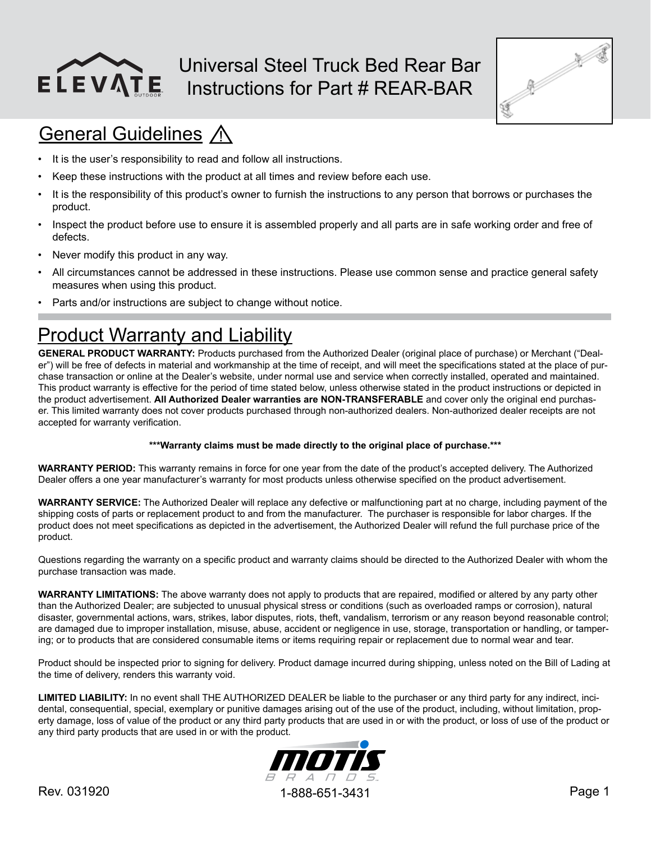

### Universal Steel Truck Bed Rear Bar Instructions for Part # REAR-BAR



## **General Guidelines A**

- It is the user's responsibility to read and follow all instructions.
- Keep these instructions with the product at all times and review before each use.
- It is the responsibility of this product's owner to furnish the instructions to any person that borrows or purchases the product.
- Inspect the product before use to ensure it is assembled properly and all parts are in safe working order and free of defects.
- Never modify this product in any way.
- All circumstances cannot be addressed in these instructions. Please use common sense and practice general safety measures when using this product.
- Parts and/or instructions are subject to change without notice.

## **Product Warranty and Liability**

**GENERAL PRODUCT WARRANTY:** Products purchased from the Authorized Dealer (original place of purchase) or Merchant ("Dealer") will be free of defects in material and workmanship at the time of receipt, and will meet the specifications stated at the place of purchase transaction or online at the Dealer's website, under normal use and service when correctly installed, operated and maintained. This product warranty is effective for the period of time stated below, unless otherwise stated in the product instructions or depicted in the product advertisement. **All Authorized Dealer warranties are NON-TRANSFERABLE** and cover only the original end purchaser. This limited warranty does not cover products purchased through non-authorized dealers. Non-authorized dealer receipts are not accepted for warranty verification.

#### **\*\*\*Warranty claims must be made directly to the original place of purchase.\*\*\***

**WARRANTY PERIOD:** This warranty remains in force for one year from the date of the product's accepted delivery. The Authorized Dealer offers a one year manufacturer's warranty for most products unless otherwise specified on the product advertisement.

**WARRANTY SERVICE:** The Authorized Dealer will replace any defective or malfunctioning part at no charge, including payment of the shipping costs of parts or replacement product to and from the manufacturer. The purchaser is responsible for labor charges. If the product does not meet specifications as depicted in the advertisement, the Authorized Dealer will refund the full purchase price of the product.

Questions regarding the warranty on a specific product and warranty claims should be directed to the Authorized Dealer with whom the purchase transaction was made.

**WARRANTY LIMITATIONS:** The above warranty does not apply to products that are repaired, modified or altered by any party other than the Authorized Dealer; are subjected to unusual physical stress or conditions (such as overloaded ramps or corrosion), natural disaster, governmental actions, wars, strikes, labor disputes, riots, theft, vandalism, terrorism or any reason beyond reasonable control; are damaged due to improper installation, misuse, abuse, accident or negligence in use, storage, transportation or handling, or tampering; or to products that are considered consumable items or items requiring repair or replacement due to normal wear and tear.

Product should be inspected prior to signing for delivery. Product damage incurred during shipping, unless noted on the Bill of Lading at the time of delivery, renders this warranty void.

**LIMITED LIABILITY:** In no event shall THE AUTHORIZED DEALER be liable to the purchaser or any third party for any indirect, incidental, consequential, special, exemplary or punitive damages arising out of the use of the product, including, without limitation, property damage, loss of value of the product or any third party products that are used in or with the product, or loss of use of the product or any third party products that are used in or with the product.

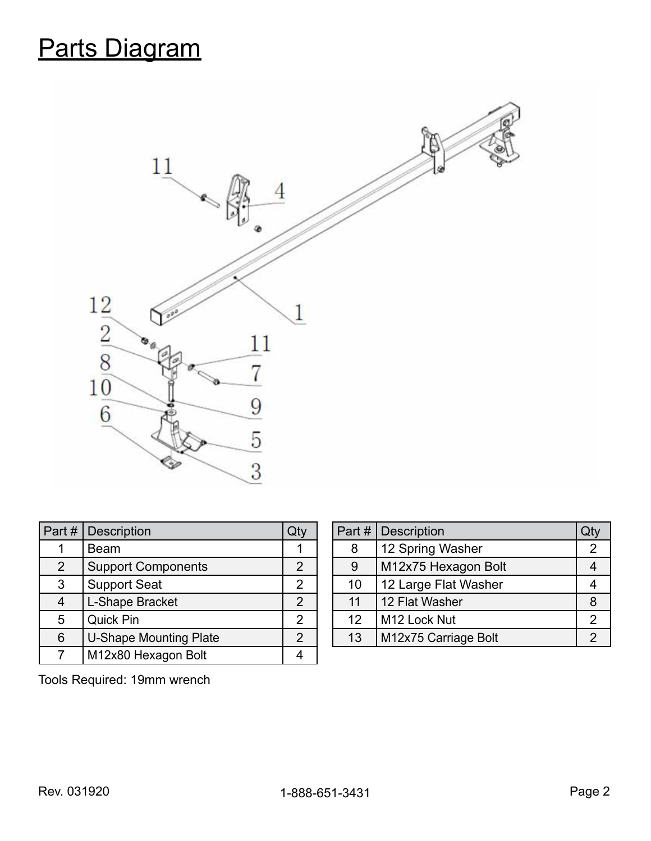# Parts Diagram



| Part # | <b>Description</b>            | Qty            |
|--------|-------------------------------|----------------|
|        | Beam                          |                |
| 2      | <b>Support Components</b>     | 2              |
| 3      | <b>Support Seat</b>           | $\overline{2}$ |
| 4      | L-Shape Bracket               | $\overline{2}$ |
| 5      | <b>Quick Pin</b>              | 2              |
| 6      | <b>U-Shape Mounting Plate</b> | $\overline{2}$ |
|        | M12x80 Hexagon Bolt           |                |

|    | <b>Part # Description</b> |   |
|----|---------------------------|---|
| 8  | 12 Spring Washer          | 2 |
| 9  | M12x75 Hexagon Bolt       |   |
| 10 | 12 Large Flat Washer      |   |
| 11 | 12 Flat Washer            | 8 |
| 12 | M12 Lock Nut              | 2 |
| 13 | M12x75 Carriage Bolt      | 2 |

Tools Required: 19mm wrench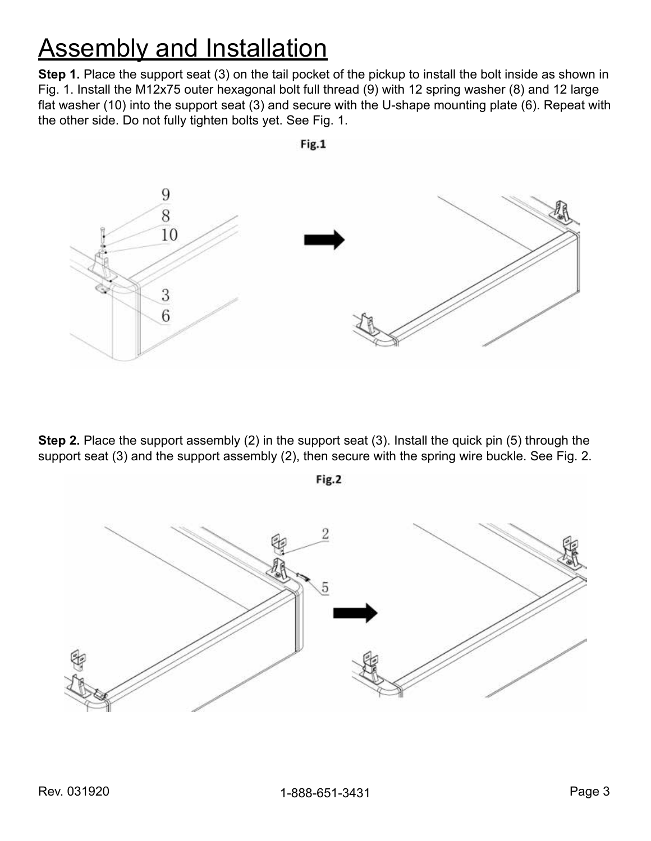## **Assembly and Installation**

**Step 1.** Place the support seat (3) on the tail pocket of the pickup to install the bolt inside as shown in Fig. 1. Install the M12x75 outer hexagonal bolt full thread (9) with 12 spring washer (8) and 12 large flat washer (10) into the support seat (3) and secure with the U-shape mounting plate (6). Repeat with the other side. Do not fully tighten bolts yet. See Fig. 1.



**Step 2.** Place the support assembly (2) in the support seat (3). Install the quick pin (5) through the support seat (3) and the support assembly (2), then secure with the spring wire buckle. See Fig. 2.